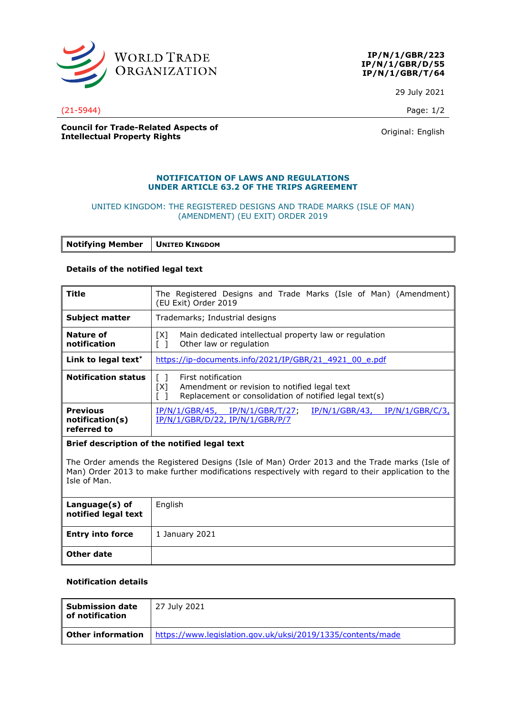

**IP/N/1/GBR/223 IP/N/1/GBR/D/55 IP/N/1/GBR/T/64**

29 July 2021

(21-5944) Page: 1/2

**Council for Trade-Related Aspects of Intellectual Property Rights Council Property Rights Council Property Rights Original:** English

### **NOTIFICATION OF LAWS AND REGULATIONS UNDER ARTICLE 63.2 OF THE TRIPS AGREEMENT**

## UNITED KINGDOM: THE REGISTERED DESIGNS AND TRADE MARKS (ISLE OF MAN) (AMENDMENT) (EU EXIT) ORDER 2019

**Notifying Member UNITED KINGDOM**

### **Details of the notified legal text**

| Title                                             | The Registered Designs and Trade Marks (Isle of Man) (Amendment)<br>(EU Exit) Order 2019                                            |
|---------------------------------------------------|-------------------------------------------------------------------------------------------------------------------------------------|
| <b>Subject matter</b>                             | Trademarks; Industrial designs                                                                                                      |
| Nature of<br>notification                         | Main dedicated intellectual property law or regulation<br>[X]<br>Other law or regulation                                            |
| Link to legal text <sup>*</sup>                   | https://ip-documents.info/2021/IP/GBR/21 4921 00 e.pdf                                                                              |
| <b>Notification status</b>                        | First notification<br>[X]<br>Amendment or revision to notified legal text<br>Replacement or consolidation of notified legal text(s) |
| <b>Previous</b><br>notification(s)<br>referred to | $IP/N/1/GBR/43$ , $IP/N/1/GBR/C/3$ ,<br>IP/N/1/GBR/45, IP/N/1/GBR/T/27,<br>IP/N/1/GBR/D/22, IP/N/1/GBR/P/7                          |

### **Brief description of the notified legal text**

The Order amends the Registered Designs (Isle of Man) Order 2013 and the Trade marks (Isle of Man) Order 2013 to make further modifications respectively with regard to their application to the Isle of Man.

| Language(s) of<br>notified legal text | English        |
|---------------------------------------|----------------|
| <b>Entry into force</b>               | 1 January 2021 |
| Other date                            |                |

# **Notification details**

| <b>Submission date</b><br>of notification | 27 July 2021                                                |
|-------------------------------------------|-------------------------------------------------------------|
| <b>Other information</b>                  | https://www.legislation.gov.uk/uksi/2019/1335/contents/made |